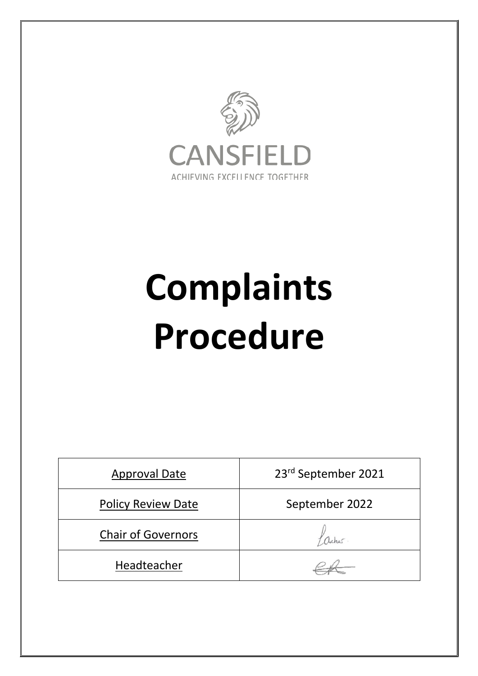

# **Complaints Procedure**

| <b>Approval Date</b>      | 23rd September 2021 |
|---------------------------|---------------------|
| <b>Policy Review Date</b> | September 2022      |
| <b>Chair of Governors</b> |                     |
| Headteacher               |                     |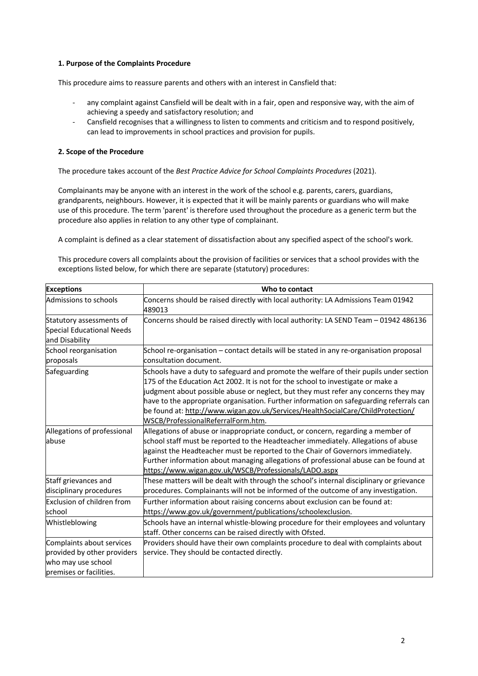# **1. Purpose of the Complaints Procedure**

This procedure aims to reassure parents and others with an interest in Cansfield that:

- any complaint against Cansfield will be dealt with in a fair, open and responsive way, with the aim of achieving a speedy and satisfactory resolution; and
- Cansfield recognises that a willingness to listen to comments and criticism and to respond positively, can lead to improvements in school practices and provision for pupils.

#### **2. Scope of the Procedure**

The procedure takes account of the *Best Practice Advice for School Complaints Procedures* (2021).

Complainants may be anyone with an interest in the work of the school e.g. parents, carers, guardians, grandparents, neighbours. However, it is expected that it will be mainly parents or guardians who will make use of this procedure. The term 'parent' is therefore used throughout the procedure as a generic term but the procedure also applies in relation to any other type of complainant.

A complaint is defined as a clear statement of dissatisfaction about any specified aspect of the school's work.

This procedure covers all complaints about the provision of facilities or services that a school provides with the exceptions listed below, for which there are separate (statutory) procedures:

| <b>Exceptions</b>                                                                                         | Who to contact                                                                                                                                                                                                                                                                                                                                                                                                                                                                        |
|-----------------------------------------------------------------------------------------------------------|---------------------------------------------------------------------------------------------------------------------------------------------------------------------------------------------------------------------------------------------------------------------------------------------------------------------------------------------------------------------------------------------------------------------------------------------------------------------------------------|
| Admissions to schools                                                                                     | Concerns should be raised directly with local authority: LA Admissions Team 01942<br>489013                                                                                                                                                                                                                                                                                                                                                                                           |
| Statutory assessments of<br>Special Educational Needs<br>and Disability                                   | Concerns should be raised directly with local authority: LA SEND Team - 01942 486136                                                                                                                                                                                                                                                                                                                                                                                                  |
| School reorganisation<br>proposals                                                                        | School re-organisation - contact details will be stated in any re-organisation proposal<br>consultation document.                                                                                                                                                                                                                                                                                                                                                                     |
| Safeguarding                                                                                              | Schools have a duty to safeguard and promote the welfare of their pupils under section<br>175 of the Education Act 2002. It is not for the school to investigate or make a<br>judgment about possible abuse or neglect, but they must refer any concerns they may<br>have to the appropriate organisation. Further information on safeguarding referrals can<br>be found at: http://www.wigan.gov.uk/Services/HealthSocialCare/ChildProtection/<br>WSCB/ProfessionalReferralForm.htm. |
| Allegations of professional<br>abuse                                                                      | Allegations of abuse or inappropriate conduct, or concern, regarding a member of<br>school staff must be reported to the Headteacher immediately. Allegations of abuse<br>against the Headteacher must be reported to the Chair of Governors immediately.<br>Further information about managing allegations of professional abuse can be found at<br>https://www.wigan.gov.uk/WSCB/Professionals/LADO.aspx                                                                            |
| Staff grievances and<br>disciplinary procedures                                                           | These matters will be dealt with through the school's internal disciplinary or grievance<br>procedures. Complainants will not be informed of the outcome of any investigation.                                                                                                                                                                                                                                                                                                        |
| Exclusion of children from<br>school                                                                      | Further information about raising concerns about exclusion can be found at:<br>https://www.gov.uk/government/publications/schoolexclusion.                                                                                                                                                                                                                                                                                                                                            |
| Whistleblowing                                                                                            | Schools have an internal whistle-blowing procedure for their employees and voluntary<br>staff. Other concerns can be raised directly with Ofsted.                                                                                                                                                                                                                                                                                                                                     |
| Complaints about services<br>provided by other providers<br>who may use school<br>premises or facilities. | Providers should have their own complaints procedure to deal with complaints about<br>service. They should be contacted directly.                                                                                                                                                                                                                                                                                                                                                     |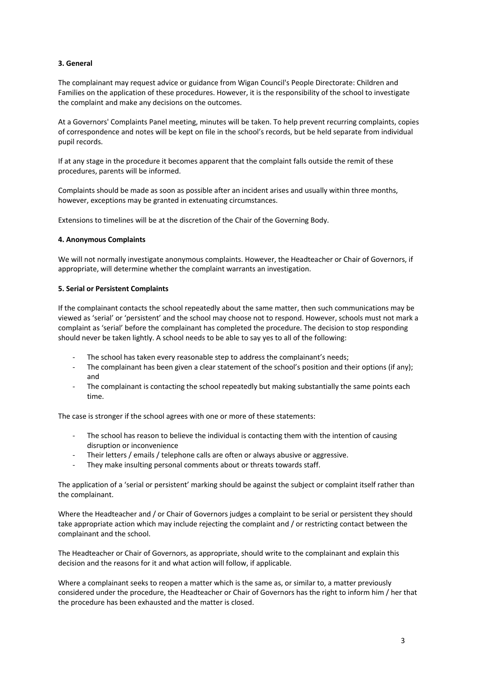# **3. General**

The complainant may request advice or guidance from Wigan Council's People Directorate: Children and Families on the application of these procedures. However, it is the responsibility of the school to investigate the complaint and make any decisions on the outcomes.

At a Governors' Complaints Panel meeting, minutes will be taken. To help prevent recurring complaints, copies of correspondence and notes will be kept on file in the school's records, but be held separate from individual pupil records.

If at any stage in the procedure it becomes apparent that the complaint falls outside the remit of these procedures, parents will be informed.

Complaints should be made as soon as possible after an incident arises and usually within three months, however, exceptions may be granted in extenuating circumstances.

Extensions to timelines will be at the discretion of the Chair of the Governing Body.

#### **4. Anonymous Complaints**

We will not normally investigate anonymous complaints. However, the Headteacher or Chair of Governors, if appropriate, will determine whether the complaint warrants an investigation.

#### **5. Serial or Persistent Complaints**

If the complainant contacts the school repeatedly about the same matter, then such communications may be viewed as 'serial' or 'persistent' and the school may choose not to respond. However, schools must not mark a complaint as 'serial' before the complainant has completed the procedure. The decision to stop responding should never be taken lightly. A school needs to be able to say yes to all of the following:

- The school has taken every reasonable step to address the complainant's needs;
- The complainant has been given a clear statement of the school's position and their options (if any); and
- The complainant is contacting the school repeatedly but making substantially the same points each time.

The case is stronger if the school agrees with one or more of these statements:

- The school has reason to believe the individual is contacting them with the intention of causing disruption or inconvenience
- Their letters / emails / telephone calls are often or always abusive or aggressive.
- They make insulting personal comments about or threats towards staff.

The application of a 'serial or persistent' marking should be against the subject or complaint itself rather than the complainant.

Where the Headteacher and / or Chair of Governors judges a complaint to be serial or persistent they should take appropriate action which may include rejecting the complaint and / or restricting contact between the complainant and the school.

The Headteacher or Chair of Governors, as appropriate, should write to the complainant and explain this decision and the reasons for it and what action will follow, if applicable.

Where a complainant seeks to reopen a matter which is the same as, or similar to, a matter previously considered under the procedure, the Headteacher or Chair of Governors has the right to inform him / her that the procedure has been exhausted and the matter is closed.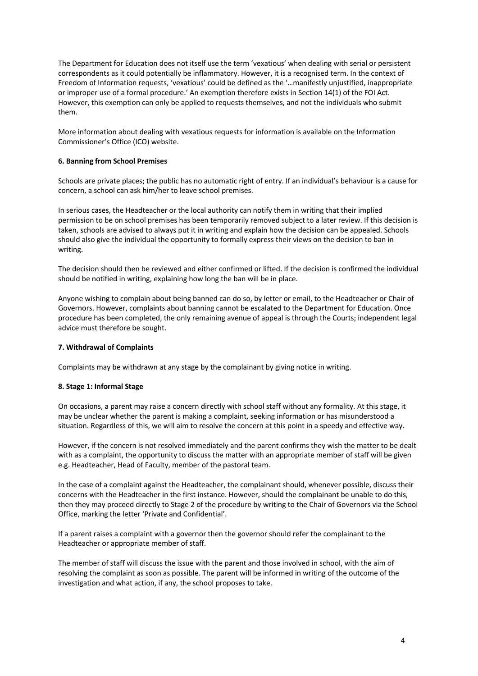The Department for Education does not itself use the term 'vexatious' when dealing with serial or persistent correspondents as it could potentially be inflammatory. However, it is a recognised term. In the context of Freedom of Information requests, 'vexatious' could be defined as the '…manifestly unjustified, inappropriate or improper use of a formal procedure.' An exemption therefore exists in Section 14(1) of the FOI Act. However, this exemption can only be applied to requests themselves, and not the individuals who submit them.

More information about dealing with vexatious requests for information is available on the Information Commissioner's Office (ICO) website.

#### **6. Banning from School Premises**

Schools are private places; the public has no automatic right of entry. If an individual's behaviour is a cause for concern, a school can ask him/her to leave school premises.

In serious cases, the Headteacher or the local authority can notify them in writing that their implied permission to be on school premises has been temporarily removed subject to a later review. If this decision is taken, schools are advised to always put it in writing and explain how the decision can be appealed. Schools should also give the individual the opportunity to formally express their views on the decision to ban in writing.

The decision should then be reviewed and either confirmed or lifted. If the decision is confirmed the individual should be notified in writing, explaining how long the ban will be in place.

Anyone wishing to complain about being banned can do so, by letter or email, to the Headteacher or Chair of Governors. However, complaints about banning cannot be escalated to the Department for Education. Once procedure has been completed, the only remaining avenue of appeal is through the Courts; independent legal advice must therefore be sought.

#### **7. Withdrawal of Complaints**

Complaints may be withdrawn at any stage by the complainant by giving notice in writing.

#### **8. Stage 1: Informal Stage**

On occasions, a parent may raise a concern directly with school staff without any formality. At this stage, it may be unclear whether the parent is making a complaint, seeking information or has misunderstood a situation. Regardless of this, we will aim to resolve the concern at this point in a speedy and effective way.

However, if the concern is not resolved immediately and the parent confirms they wish the matter to be dealt with as a complaint, the opportunity to discuss the matter with an appropriate member of staff will be given e.g. Headteacher, Head of Faculty, member of the pastoral team.

In the case of a complaint against the Headteacher, the complainant should, whenever possible, discuss their concerns with the Headteacher in the first instance. However, should the complainant be unable to do this, then they may proceed directly to Stage 2 of the procedure by writing to the Chair of Governors via the School Office, marking the letter 'Private and Confidential'.

If a parent raises a complaint with a governor then the governor should refer the complainant to the Headteacher or appropriate member of staff.

The member of staff will discuss the issue with the parent and those involved in school, with the aim of resolving the complaint as soon as possible. The parent will be informed in writing of the outcome of the investigation and what action, if any, the school proposes to take.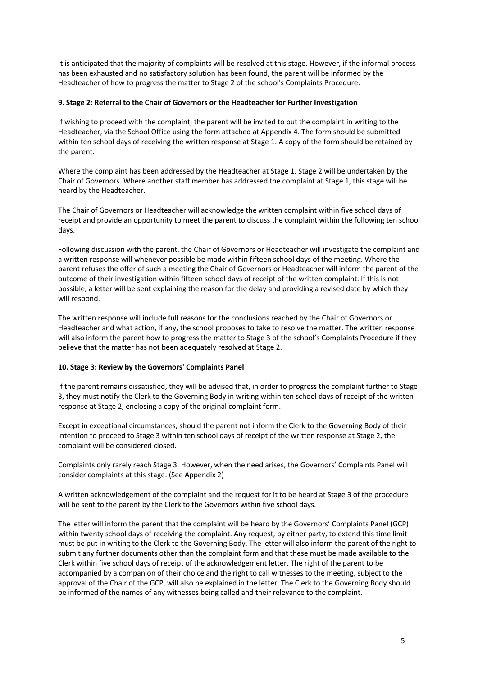It is anticipated that the majority of complaints will be resolved at this stage. However, if the informal process has been exhausted and no satisfactory solution has been found, the parent will be informed by the Headteacher of how to progress the matter to Stage 2 of the school's Complaints Procedure.

#### **9. Stage 2: Referral to the Chair of Governors or the Headteacher for Further Investigation**

If wishing to proceed with the complaint, the parent will be invited to put the complaint in writing to the Headteacher, via the School Office using the form attached at Appendix 4. The form should be submitted within ten school days of receiving the written response at Stage 1. A copy of the form should be retained by the parent.

Where the complaint has been addressed by the Headteacher at Stage 1, Stage 2 will be undertaken by the Chair of Governors. Where another staff member has addressed the complaint at Stage 1, this stage will be heard by the Headteacher.

The Chair of Governors or Headteacher will acknowledge the written complaint within five school days of receipt and provide an opportunity to meet the parent to discuss the complaint within the following ten school days.

Following discussion with the parent, the Chair of Governors or Headteacher will investigate the complaint and a written response will whenever possible be made within fifteen school days of the meeting. Where the parent refuses the offer of such a meeting the Chair of Governors or Headteacher will inform the parent of the outcome of their investigation within fifteen school days of receipt of the written complaint. If this is not possible, a letter will be sent explaining the reason for the delay and providing a revised date by which they will respond.

The written response will include full reasons for the conclusions reached by the Chair of Governors or Headteacher and what action, if any, the school proposes to take to resolve the matter. The written response will also inform the parent how to progress the matter to Stage 3 of the school's Complaints Procedure if they believe that the matter has not been adequately resolved at Stage 2.

#### **10. Stage 3: Review by the Governors' Complaints Panel**

If the parent remains dissatisfied, they will be advised that, in order to progress the complaint further to Stage 3, they must notify the Clerk to the Governing Body in writing within ten school days of receipt of the written response at Stage 2, enclosing a copy of the original complaint form.

Except in exceptional circumstances, should the parent not inform the Clerk to the Governing Body of their intention to proceed to Stage 3 within ten school days of receipt of the written response at Stage 2, the complaint will be considered closed.

Complaints only rarely reach Stage 3. However, when the need arises, the Governors' Complaints Panel will consider complaints at this stage. (See Appendix 2)

A written acknowledgement of the complaint and the request for it to be heard at Stage 3 of the procedure will be sent to the parent by the Clerk to the Governors within five school days.

The letter will inform the parent that the complaint will be heard by the Governors' Complaints Panel (GCP) within twenty school days of receiving the complaint. Any request, by either party, to extend this time limit must be put in writing to the Clerk to the Governing Body. The letter will also inform the parent of the right to submit any further documents other than the complaint form and that these must be made available to the Clerk within five school days of receipt of the acknowledgement letter. The right of the parent to be accompanied by a companion of their choice and the right to call witnesses to the meeting, subject to the approval of the Chair of the GCP, will also be explained in the letter. The Clerk to the Governing Body should be informed of the names of any witnesses being called and their relevance to the complaint.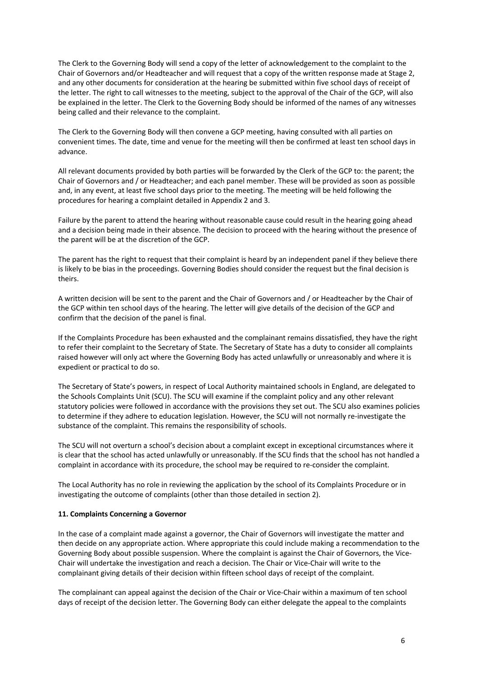The Clerk to the Governing Body will send a copy of the letter of acknowledgement to the complaint to the Chair of Governors and/or Headteacher and will request that a copy of the written response made at Stage 2, and any other documents for consideration at the hearing be submitted within five school days of receipt of the letter. The right to call witnesses to the meeting, subject to the approval of the Chair of the GCP, will also be explained in the letter. The Clerk to the Governing Body should be informed of the names of any witnesses being called and their relevance to the complaint.

The Clerk to the Governing Body will then convene a GCP meeting, having consulted with all parties on convenient times. The date, time and venue for the meeting will then be confirmed at least ten school days in advance.

All relevant documents provided by both parties will be forwarded by the Clerk of the GCP to: the parent; the Chair of Governors and / or Headteacher; and each panel member. These will be provided as soon as possible and, in any event, at least five school days prior to the meeting. The meeting will be held following the procedures for hearing a complaint detailed in Appendix 2 and 3.

Failure by the parent to attend the hearing without reasonable cause could result in the hearing going ahead and a decision being made in their absence. The decision to proceed with the hearing without the presence of the parent will be at the discretion of the GCP.

The parent has the right to request that their complaint is heard by an independent panel if they believe there is likely to be bias in the proceedings. Governing Bodies should consider the request but the final decision is theirs.

A written decision will be sent to the parent and the Chair of Governors and / or Headteacher by the Chair of the GCP within ten school days of the hearing. The letter will give details of the decision of the GCP and confirm that the decision of the panel is final.

If the Complaints Procedure has been exhausted and the complainant remains dissatisfied, they have the right to refer their complaint to the Secretary of State. The Secretary of State has a duty to consider all complaints raised however will only act where the Governing Body has acted unlawfully or unreasonably and where it is expedient or practical to do so.

The Secretary of State's powers, in respect of Local Authority maintained schools in England, are delegated to the Schools Complaints Unit (SCU). The SCU will examine if the complaint policy and any other relevant statutory policies were followed in accordance with the provisions they set out. The SCU also examines policies to determine if they adhere to education legislation. However, the SCU will not normally re-investigate the substance of the complaint. This remains the responsibility of schools.

The SCU will not overturn a school's decision about a complaint except in exceptional circumstances where it is clear that the school has acted unlawfully or unreasonably. If the SCU finds that the school has not handled a complaint in accordance with its procedure, the school may be required to re-consider the complaint.

The Local Authority has no role in reviewing the application by the school of its Complaints Procedure or in investigating the outcome of complaints (other than those detailed in section 2).

#### **11. Complaints Concerning a Governor**

In the case of a complaint made against a governor, the Chair of Governors will investigate the matter and then decide on any appropriate action. Where appropriate this could include making a recommendation to the Governing Body about possible suspension. Where the complaint is against the Chair of Governors, the Vice-Chair will undertake the investigation and reach a decision. The Chair or Vice-Chair will write to the complainant giving details of their decision within fifteen school days of receipt of the complaint.

The complainant can appeal against the decision of the Chair or Vice-Chair within a maximum of ten school days of receipt of the decision letter. The Governing Body can either delegate the appeal to the complaints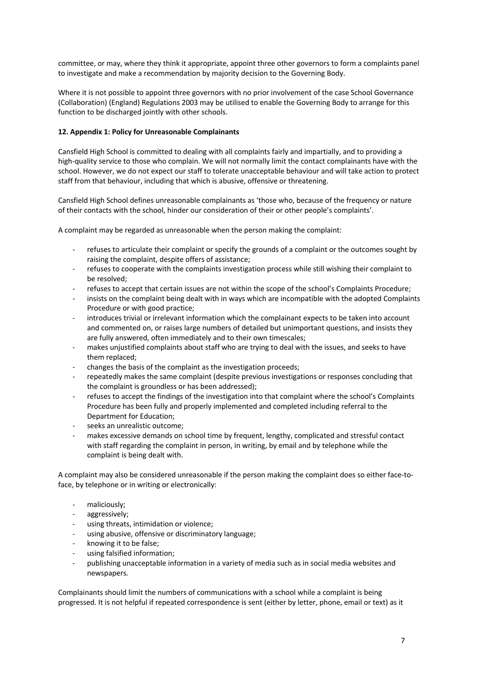committee, or may, where they think it appropriate, appoint three other governors to form a complaints panel to investigate and make a recommendation by majority decision to the Governing Body.

Where it is not possible to appoint three governors with no prior involvement of the case School Governance (Collaboration) (England) Regulations 2003 may be utilised to enable the Governing Body to arrange for this function to be discharged jointly with other schools.

# **12. Appendix 1: Policy for Unreasonable Complainants**

Cansfield High School is committed to dealing with all complaints fairly and impartially, and to providing a high-quality service to those who complain. We will not normally limit the contact complainants have with the school. However, we do not expect our staff to tolerate unacceptable behaviour and will take action to protect staff from that behaviour, including that which is abusive, offensive or threatening.

Cansfield High School defines unreasonable complainants as 'those who, because of the frequency or nature of their contacts with the school, hinder our consideration of their or other people's complaints'.

A complaint may be regarded as unreasonable when the person making the complaint:

- refuses to articulate their complaint or specify the grounds of a complaint or the outcomes sought by raising the complaint, despite offers of assistance;
- refuses to cooperate with the complaints investigation process while still wishing their complaint to be resolved;
- refuses to accept that certain issues are not within the scope of the school's Complaints Procedure;
- insists on the complaint being dealt with in ways which are incompatible with the adopted Complaints Procedure or with good practice;
- introduces trivial or irrelevant information which the complainant expects to be taken into account and commented on, or raises large numbers of detailed but unimportant questions, and insists they are fully answered, often immediately and to their own timescales;
- makes unjustified complaints about staff who are trying to deal with the issues, and seeks to have them replaced;
- changes the basis of the complaint as the investigation proceeds;
- repeatedly makes the same complaint (despite previous investigations or responses concluding that the complaint is groundless or has been addressed);
- refuses to accept the findings of the investigation into that complaint where the school's Complaints Procedure has been fully and properly implemented and completed including referral to the Department for Education;
- seeks an unrealistic outcome;
- makes excessive demands on school time by frequent, lengthy, complicated and stressful contact with staff regarding the complaint in person, in writing, by email and by telephone while the complaint is being dealt with.

A complaint may also be considered unreasonable if the person making the complaint does so either face-toface, by telephone or in writing or electronically:

- maliciously;
- aggressively;
- using threats, intimidation or violence;
- using abusive, offensive or discriminatory language;
- knowing it to be false:
- using falsified information;
- publishing unacceptable information in a variety of media such as in social media websites and newspapers.

Complainants should limit the numbers of communications with a school while a complaint is being progressed. It is not helpful if repeated correspondence is sent (either by letter, phone, email or text) as it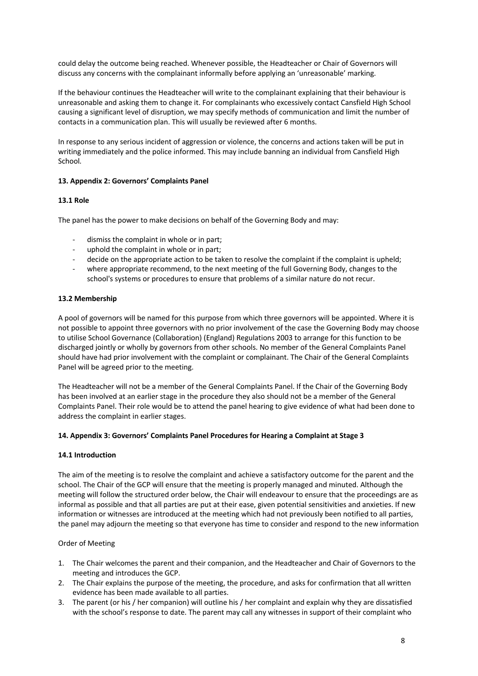could delay the outcome being reached. Whenever possible, the Headteacher or Chair of Governors will discuss any concerns with the complainant informally before applying an 'unreasonable' marking.

If the behaviour continues the Headteacher will write to the complainant explaining that their behaviour is unreasonable and asking them to change it. For complainants who excessively contact Cansfield High School causing a significant level of disruption, we may specify methods of communication and limit the number of contacts in a communication plan. This will usually be reviewed after 6 months.

In response to any serious incident of aggression or violence, the concerns and actions taken will be put in writing immediately and the police informed. This may include banning an individual from Cansfield High School*.*

# **13. Appendix 2: Governors' Complaints Panel**

#### **13.1 Role**

The panel has the power to make decisions on behalf of the Governing Body and may:

- dismiss the complaint in whole or in part;
- uphold the complaint in whole or in part;
- decide on the appropriate action to be taken to resolve the complaint if the complaint is upheld;
- where appropriate recommend, to the next meeting of the full Governing Body, changes to the school's systems or procedures to ensure that problems of a similar nature do not recur.

#### **13.2 Membership**

A pool of governors will be named for this purpose from which three governors will be appointed. Where it is not possible to appoint three governors with no prior involvement of the case the Governing Body may choose to utilise School Governance (Collaboration) (England) Regulations 2003 to arrange for this function to be discharged jointly or wholly by governors from other schools. No member of the General Complaints Panel should have had prior involvement with the complaint or complainant. The Chair of the General Complaints Panel will be agreed prior to the meeting.

The Headteacher will not be a member of the General Complaints Panel. If the Chair of the Governing Body has been involved at an earlier stage in the procedure they also should not be a member of the General Complaints Panel. Their role would be to attend the panel hearing to give evidence of what had been done to address the complaint in earlier stages.

#### **14. Appendix 3: Governors' Complaints Panel Procedures for Hearing a Complaint at Stage 3**

#### **14.1 Introduction**

The aim of the meeting is to resolve the complaint and achieve a satisfactory outcome for the parent and the school. The Chair of the GCP will ensure that the meeting is properly managed and minuted. Although the meeting will follow the structured order below, the Chair will endeavour to ensure that the proceedings are as informal as possible and that all parties are put at their ease, given potential sensitivities and anxieties. If new information or witnesses are introduced at the meeting which had not previously been notified to all parties, the panel may adjourn the meeting so that everyone has time to consider and respond to the new information

#### Order of Meeting

- 1. The Chair welcomes the parent and their companion, and the Headteacher and Chair of Governors to the meeting and introduces the GCP.
- 2. The Chair explains the purpose of the meeting, the procedure, and asks for confirmation that all written evidence has been made available to all parties.
- 3. The parent (or his / her companion) will outline his / her complaint and explain why they are dissatisfied with the school's response to date. The parent may call any witnesses in support of their complaint who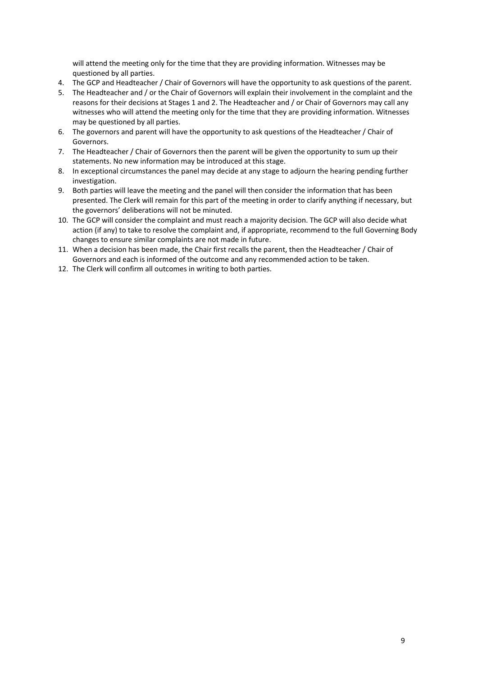will attend the meeting only for the time that they are providing information. Witnesses may be questioned by all parties.

- 4. The GCP and Headteacher / Chair of Governors will have the opportunity to ask questions of the parent.
- 5. The Headteacher and / or the Chair of Governors will explain their involvement in the complaint and the reasons for their decisions at Stages 1 and 2. The Headteacher and / or Chair of Governors may call any witnesses who will attend the meeting only for the time that they are providing information. Witnesses may be questioned by all parties.
- 6. The governors and parent will have the opportunity to ask questions of the Headteacher / Chair of Governors.
- 7. The Headteacher / Chair of Governors then the parent will be given the opportunity to sum up their statements. No new information may be introduced at this stage.
- 8. In exceptional circumstances the panel may decide at any stage to adjourn the hearing pending further investigation.
- 9. Both parties will leave the meeting and the panel will then consider the information that has been presented. The Clerk will remain for this part of the meeting in order to clarify anything if necessary, but the governors' deliberations will not be minuted.
- 10. The GCP will consider the complaint and must reach a majority decision. The GCP will also decide what action (if any) to take to resolve the complaint and, if appropriate, recommend to the full Governing Body changes to ensure similar complaints are not made in future.
- 11. When a decision has been made, the Chair first recalls the parent, then the Headteacher / Chair of Governors and each is informed of the outcome and any recommended action to be taken.
- 12. The Clerk will confirm all outcomes in writing to both parties.